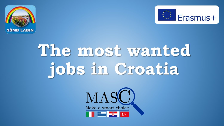



# **The most wanted jobs in Croatia**

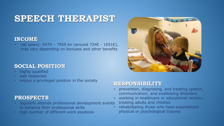# **SPEECH THERAPIST**

## **INCOME**

• net salary: 5479 – 7955 kn (around 724€ - 1051€), may vary depending on bonuses and other benefits

# **SOCIAL POSITION**

- highly qualified
- well respected
- enjoys a privileged position in the society

# **PROSPECTS**

- regularly attends professional development events to enhance their professional skills
- high number of different work positions



- prevention, diagnosing, and treating speech, communication, and swallowing disorders
- working in healthcare or educational sectors, treating adults and children
- rehabilitating those who have experienced physical or psychological trauma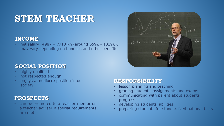# **STEM TEACHER**

# **INCOME**

• net salary: 4987 – 7713 kn (around 659€ - 1019€), may vary depending on bonuses and other benefits

# **SOCIAL POSITION**

- highly qualified
- not respected enough
- enjoys a mediocre position in our society

# **PROSPECTS**

• can be promoted to a teacher-mentor or a teacher-adviser if special requirements are met

- lesson planning and teaching
- grading students' assignments and exams
- communicating with parent about students' progress
- developing students' abilities
- preparing students for standardized national tests

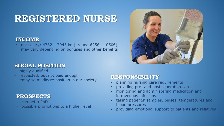# **REGISTERED NURSE**

## **INCOME**

• net salary: 4732 – 7945 kn (around 625€ - 1050€), may vary depending on bonuses and other benefits

# **SOCIAL POSITION**

- highly qualified
- respected, but not paid enough
- enjoy sa mediocre position in our society

# **PROSPECTS**

- can get a PhD
- possible promotions to a higher level

- planning nursing care requirements
- providing pre- and post- operation care
- monitoring and administering medication and intravenous infusions
- taking patients' samples, pulses, temperatures and blood pressures
- providing emotional support to patients and relatives

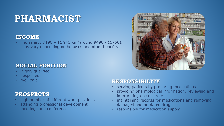# **PHARMACIST**

## **INCOME**

• net salary: 7196 – 11 945 kn (around 949€ - 1575€), may vary depending on bonuses and other benefits

# **SOCIAL POSITION**

- highly qualified
- respected
- well paid

# **PROSPECTS**

- high number of different work positions
- attending professional development meetings and conferences



- serving patients by preparing medications
- providing pharmological information, reviewing and interpreting doctor orders
- maintaining records for medications and removing damaged and outdated drugs
- responsible for medication supply